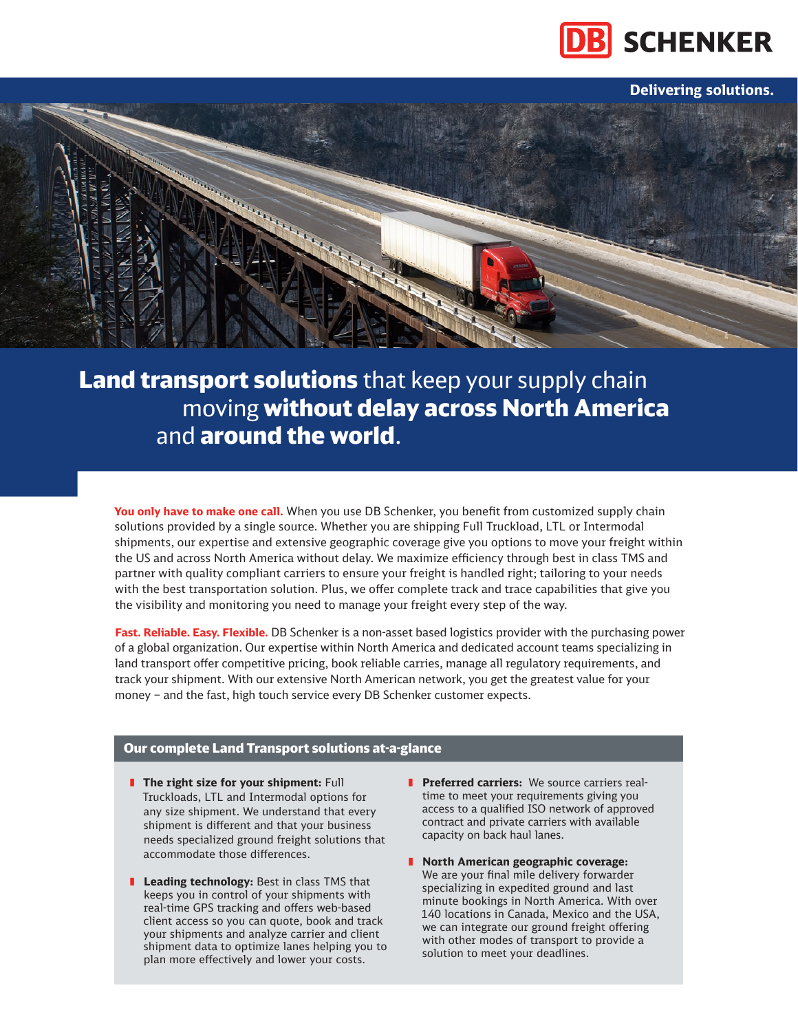

**Delivering solutions.**



Land transport solutions that keep your supply chain moving without delay across North America and **around the world**.

**You only have to make one call.** When you use DB Schenker, you benefit from customized supply chain solutions provided by a single source. Whether you are shipping Full Truckload, LTL or Intermodal shipments, our expertise and extensive geographic coverage give you options to move your freight within the US and across North America without delay. We maximize efficiency through best in class TMS and partner with quality compliant carriers to ensure your freight is handled right; tailoring to your needs with the best transportation solution. Plus, we offer complete track and trace capabilities that give you the visibility and monitoring you need to manage your freight every step of the way.

**Fast. Reliable. Easy. Flexible.** DB Schenker is a non-asset based logistics provider with the purchasing power of a global organization. Our expertise within North America and dedicated account teams specializing in land transport offer competitive pricing, book reliable carries, manage all regulatory requirements, and track your shipment. With our extensive North American network, you get the greatest value for your money – and the fast, high touch service every DB Schenker customer expects.

## Our complete Land Transport solutions at-a-glance

- **I** The right size for your shipment: Full Truckloads, LTL and Intermodal options for any size shipment. We understand that every shipment is different and that your business needs specialized ground freight solutions that accommodate those differences.
- **I** Leading technology: Best in class TMS that keeps you in control of your shipments with real-time GPS tracking and offers web-based client access so you can quote, book and track your shipments and analyze carrier and client shipment data to optimize lanes helping you to plan more effectively and lower your costs.
- **Feferred carriers:** We source carriers realtime to meet your requirements giving you access to a qualified ISO network of approved contract and private carriers with available capacity on back haul lanes.
- ❚ **North American geographic coverage:** We are your final mile delivery forwarder specializing in expedited ground and last minute bookings in North America. With over 140 locations in Canada, Mexico and the USA, we can integrate our ground freight offering with other modes of transport to provide a solution to meet your deadlines.